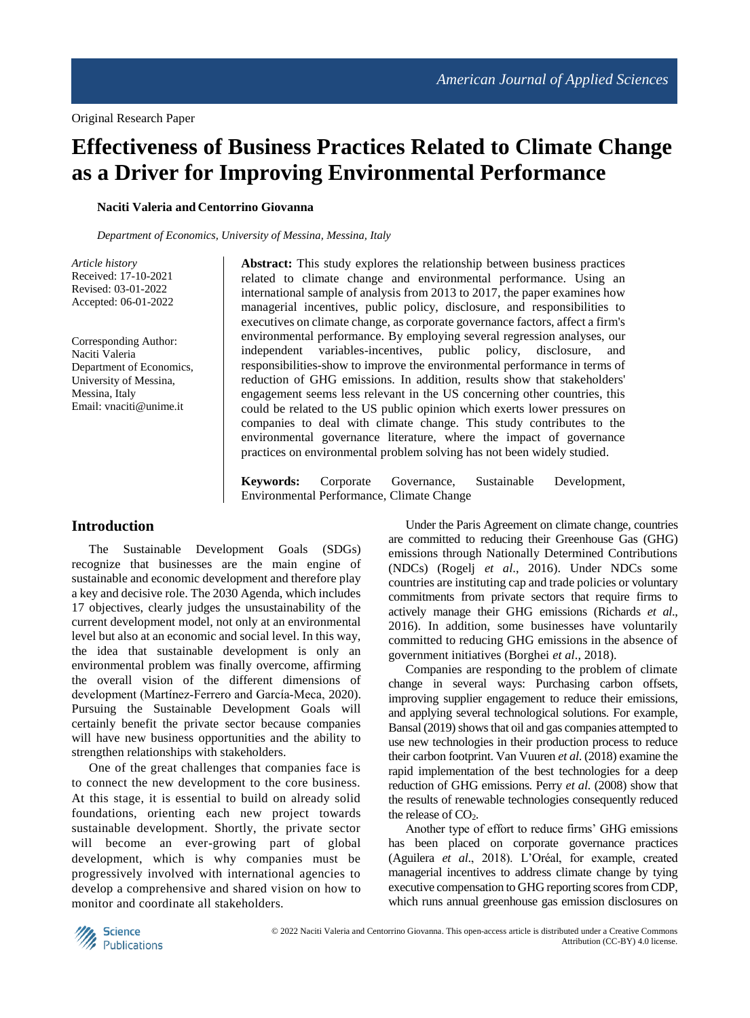# **Effectiveness of Business Practices Related to Climate Change as a Driver for Improving Environmental Performance**

**Naciti Valeria and Centorrino Giovanna**

*Department of Economics, University of Messina, Messina, Italy*

*Article history* Received: 17-10-2021 Revised: 03-01-2022 Accepted: 06-01-2022

Corresponding Author: Naciti Valeria Department of Economics, University of Messina, Messina, Italy Email: vnaciti@unime.it

**Abstract:** This study explores the relationship between business practices related to climate change and environmental performance. Using an international sample of analysis from 2013 to 2017, the paper examines how managerial incentives, public policy, disclosure, and responsibilities to executives on climate change, as corporate governance factors, affect a firm's environmental performance. By employing several regression analyses, our independent variables-incentives, public policy, disclosure, and responsibilities-show to improve the environmental performance in terms of reduction of GHG emissions. In addition, results show that stakeholders' engagement seems less relevant in the US concerning other countries, this could be related to the US public opinion which exerts lower pressures on companies to deal with climate change. This study contributes to the environmental governance literature, where the impact of governance practices on environmental problem solving has not been widely studied.

**Keywords:** Corporate Governance, Sustainable Development, Environmental Performance, Climate Change

## **Introduction**

The Sustainable Development Goals (SDGs) recognize that businesses are the main engine of sustainable and economic development and therefore play a key and decisive role. The 2030 Agenda, which includes 17 objectives, clearly judges the unsustainability of the current development model, not only at an environmental level but also at an economic and social level. In this way, the idea that sustainable development is only an environmental problem was finally overcome, affirming the overall vision of the different dimensions of development (Martínez‐Ferrero and García‐Meca, 2020). Pursuing the Sustainable Development Goals will certainly benefit the private sector because companies will have new business opportunities and the ability to strengthen relationships with stakeholders.

One of the great challenges that companies face is to connect the new development to the core business. At this stage, it is essential to build on already solid foundations, orienting each new project towards sustainable development. Shortly, the private sector will become an ever-growing part of global development, which is why companies must be progressively involved with international agencies to develop a comprehensive and shared vision on how to monitor and coordinate all stakeholders.

Under the Paris Agreement on climate change, countries are committed to reducing their Greenhouse Gas (GHG) emissions through Nationally Determined Contributions (NDCs) (Rogelj *et al*., 2016). Under NDCs some countries are instituting cap and trade policies or voluntary commitments from private sectors that require firms to actively manage their GHG emissions (Richards *et al*., 2016). In addition, some businesses have voluntarily committed to reducing GHG emissions in the absence of government initiatives (Borghei *et al*., 2018).

Companies are responding to the problem of climate change in several ways: Purchasing carbon offsets, improving supplier engagement to reduce their emissions, and applying several technological solutions. For example, Bansal (2019) shows that oil and gas companies attempted to use new technologies in their production process to reduce their carbon footprint. Van Vuuren *et al*. (2018) examine the rapid implementation of the best technologies for a deep reduction of GHG emissions. Perry *et al*. (2008) show that the results of renewable technologies consequently reduced the release of  $CO<sub>2</sub>$ .

Another type of effort to reduce firms' GHG emissions has been placed on corporate governance practices (Aguilera *et al*., 2018). L'Oréal, for example, created managerial incentives to address climate change by tying executive compensation to GHG reporting scores from CDP, which runs annual greenhouse gas emission disclosures on

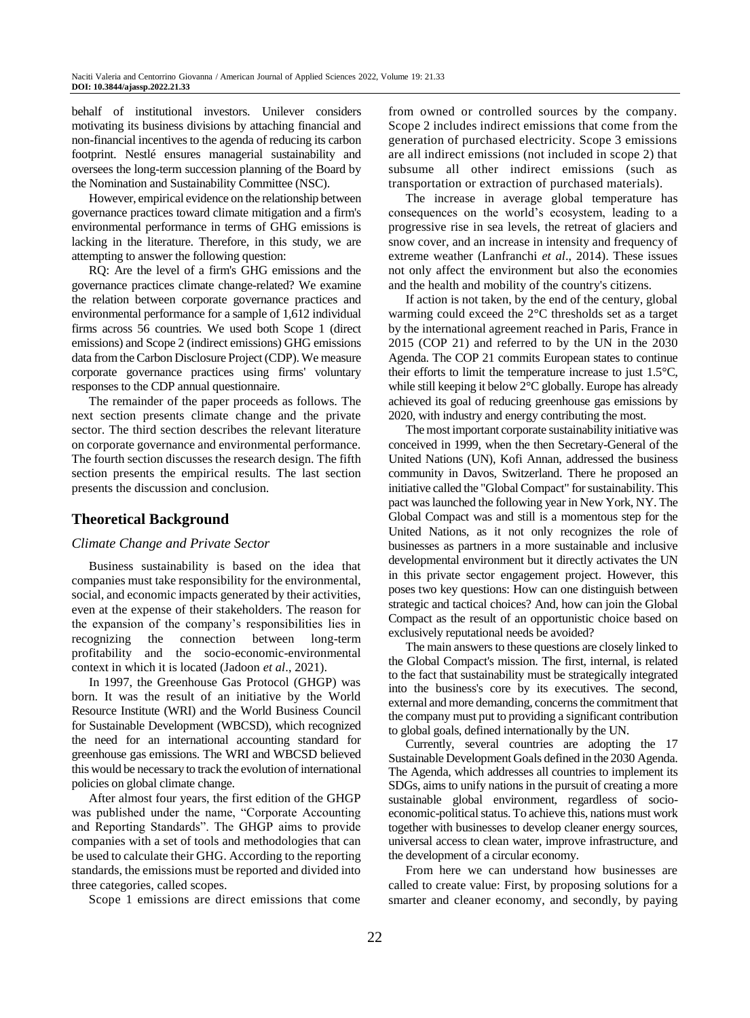behalf of institutional investors. Unilever considers motivating its business divisions by attaching financial and non-financial incentives to the agenda of reducing its carbon footprint. Nestlé ensures managerial sustainability and oversees the long-term succession planning of the Board by the Nomination and Sustainability Committee (NSC).

However, empirical evidence on the relationship between governance practices toward climate mitigation and a firm's environmental performance in terms of GHG emissions is lacking in the literature. Therefore, in this study, we are attempting to answer the following question:

RQ: Are the level of a firm's GHG emissions and the governance practices climate change-related? We examine the relation between corporate governance practices and environmental performance for a sample of 1,612 individual firms across 56 countries. We used both Scope 1 (direct emissions) and Scope 2 (indirect emissions) GHG emissions data from the Carbon Disclosure Project (CDP). We measure corporate governance practices using firms' voluntary responses to the CDP annual questionnaire.

The remainder of the paper proceeds as follows. The next section presents climate change and the private sector. The third section describes the relevant literature on corporate governance and environmental performance. The fourth section discusses the research design. The fifth section presents the empirical results. The last section presents the discussion and conclusion.

## **Theoretical Background**

## *Climate Change and Private Sector*

Business sustainability is based on the idea that companies must take responsibility for the environmental, social, and economic impacts generated by their activities, even at the expense of their stakeholders. The reason for the expansion of the company's responsibilities lies in recognizing the connection between long-term profitability and the socio-economic-environmental context in which it is located (Jadoon *et al*., 2021).

In 1997, the Greenhouse Gas Protocol (GHGP) was born. It was the result of an initiative by the World Resource Institute (WRI) and the World Business Council for Sustainable Development (WBCSD), which recognized the need for an international accounting standard for greenhouse gas emissions. The WRI and WBCSD believed this would be necessary to track the evolution of international policies on global climate change.

After almost four years, the first edition of the GHGP was published under the name, "Corporate Accounting and Reporting Standards". The GHGP aims to provide companies with a set of tools and methodologies that can be used to calculate their GHG. According to the reporting standards, the emissions must be reported and divided into three categories, called scopes.

Scope 1 emissions are direct emissions that come

from owned or controlled sources by the company. Scope 2 includes indirect emissions that come from the generation of purchased electricity. Scope 3 emissions are all indirect emissions (not included in scope 2) that subsume all other indirect emissions (such as transportation or extraction of purchased materials).

The increase in average global temperature has consequences on the world's ecosystem, leading to a progressive rise in sea levels, the retreat of glaciers and snow cover, and an increase in intensity and frequency of extreme weather (Lanfranchi *et al*., 2014). These issues not only affect the environment but also the economies and the health and mobility of the country's citizens.

If action is not taken, by the end of the century, global warming could exceed the 2°C thresholds set as a target by the international agreement reached in Paris, France in 2015 (COP 21) and referred to by the UN in the 2030 Agenda. The COP 21 commits European states to continue their efforts to limit the temperature increase to just 1.5°C, while still keeping it below 2<sup>o</sup>C globally. Europe has already achieved its goal of reducing greenhouse gas emissions by 2020, with industry and energy contributing the most.

The most important corporate sustainability initiative was conceived in 1999, when the then Secretary-General of the United Nations (UN), Kofi Annan, addressed the business community in Davos, Switzerland. There he proposed an initiative called the "Global Compact" for sustainability. This pact was launched the following year in New York, NY. The Global Compact was and still is a momentous step for the United Nations, as it not only recognizes the role of businesses as partners in a more sustainable and inclusive developmental environment but it directly activates the UN in this private sector engagement project. However, this poses two key questions: How can one distinguish between strategic and tactical choices? And, how can join the Global Compact as the result of an opportunistic choice based on exclusively reputational needs be avoided?

The main answers to these questions are closely linked to the Global Compact's mission. The first, internal, is related to the fact that sustainability must be strategically integrated into the business's core by its executives. The second, external and more demanding, concerns the commitment that the company must put to providing a significant contribution to global goals, defined internationally by the UN.

Currently, several countries are adopting the 17 Sustainable Development Goals defined in the 2030 Agenda. The Agenda, which addresses all countries to implement its SDGs, aims to unify nations in the pursuit of creating a more sustainable global environment, regardless of socioeconomic-political status. To achieve this, nations must work together with businesses to develop cleaner energy sources, universal access to clean water, improve infrastructure, and the development of a circular economy.

From here we can understand how businesses are called to create value: First, by proposing solutions for a smarter and cleaner economy, and secondly, by paying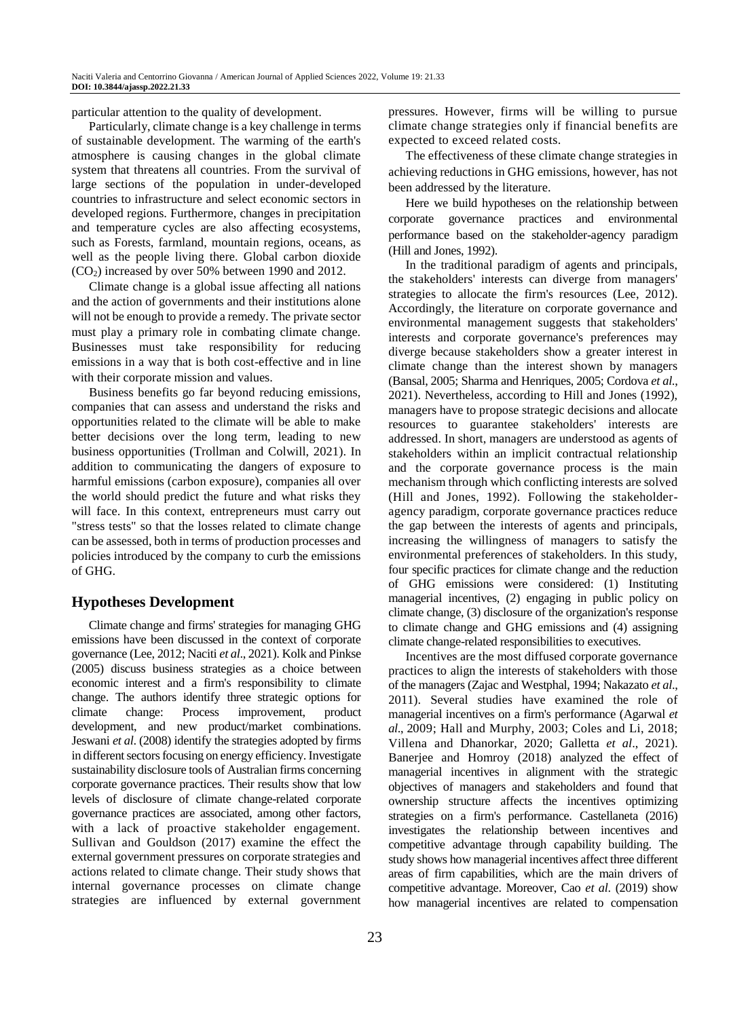particular attention to the quality of development.

Particularly, climate change is a key challenge in terms of sustainable development. The warming of the earth's atmosphere is causing changes in the global climate system that threatens all countries. From the survival of large sections of the population in under-developed countries to infrastructure and select economic sectors in developed regions. Furthermore, changes in precipitation and temperature cycles are also affecting ecosystems, such as Forests, farmland, mountain regions, oceans, as well as the people living there. Global carbon dioxide (CO2) increased by over 50% between 1990 and 2012.

Climate change is a global issue affecting all nations and the action of governments and their institutions alone will not be enough to provide a remedy. The private sector must play a primary role in combating climate change. Businesses must take responsibility for reducing emissions in a way that is both cost-effective and in line with their corporate mission and values.

Business benefits go far beyond reducing emissions, companies that can assess and understand the risks and opportunities related to the climate will be able to make better decisions over the long term, leading to new business opportunities (Trollman and Colwill, 2021). In addition to communicating the dangers of exposure to harmful emissions (carbon exposure), companies all over the world should predict the future and what risks they will face. In this context, entrepreneurs must carry out "stress tests" so that the losses related to climate change can be assessed, both in terms of production processes and policies introduced by the company to curb the emissions of GHG.

## **Hypotheses Development**

Climate change and firms' strategies for managing GHG emissions have been discussed in the context of corporate governance (Lee, 2012; Naciti *et al*., 2021). Kolk and Pinkse (2005) discuss business strategies as a choice between economic interest and a firm's responsibility to climate change. The authors identify three strategic options for climate change: Process improvement, product development, and new product/market combinations. Jeswani *et al*. (2008) identify the strategies adopted by firms in different sectors focusing on energy efficiency. Investigate sustainability disclosure tools of Australian firms concerning corporate governance practices. Their results show that low levels of disclosure of climate change-related corporate governance practices are associated, among other factors, with a lack of proactive stakeholder engagement. Sullivan and Gouldson (2017) examine the effect the external government pressures on corporate strategies and actions related to climate change. Their study shows that internal governance processes on climate change strategies are influenced by external government

23

pressures. However, firms will be willing to pursue climate change strategies only if financial benefits are expected to exceed related costs.

The effectiveness of these climate change strategies in achieving reductions in GHG emissions, however, has not been addressed by the literature.

Here we build hypotheses on the relationship between corporate governance practices and environmental performance based on the stakeholder-agency paradigm (Hill and Jones, 1992).

In the traditional paradigm of agents and principals, the stakeholders' interests can diverge from managers' strategies to allocate the firm's resources (Lee, 2012). Accordingly, the literature on corporate governance and environmental management suggests that stakeholders' interests and corporate governance's preferences may diverge because stakeholders show a greater interest in climate change than the interest shown by managers (Bansal, 2005; Sharma and Henriques, 2005; Cordova *et al*., 2021). Nevertheless, according to Hill and Jones (1992), managers have to propose strategic decisions and allocate resources to guarantee stakeholders' interests are addressed. In short, managers are understood as agents of stakeholders within an implicit contractual relationship and the corporate governance process is the main mechanism through which conflicting interests are solved (Hill and Jones, 1992). Following the stakeholderagency paradigm, corporate governance practices reduce the gap between the interests of agents and principals, increasing the willingness of managers to satisfy the environmental preferences of stakeholders. In this study, four specific practices for climate change and the reduction of GHG emissions were considered: (1) Instituting managerial incentives, (2) engaging in public policy on climate change, (3) disclosure of the organization's response to climate change and GHG emissions and (4) assigning climate change-related responsibilities to executives.

Incentives are the most diffused corporate governance practices to align the interests of stakeholders with those of the managers (Zajac and Westphal, 1994; Nakazato *et al*., 2011). Several studies have examined the role of managerial incentives on a firm's performance (Agarwal *et al*., 2009; Hall and Murphy, 2003; Coles and Li, 2018; Villena and Dhanorkar, 2020; Galletta *et al*., 2021). Banerjee and Homroy (2018) analyzed the effect of managerial incentives in alignment with the strategic objectives of managers and stakeholders and found that ownership structure affects the incentives optimizing strategies on a firm's performance. Castellaneta (2016) investigates the relationship between incentives and competitive advantage through capability building. The study shows how managerial incentives affect three different areas of firm capabilities, which are the main drivers of competitive advantage. Moreover, Cao *et al*. (2019) show how managerial incentives are related to compensation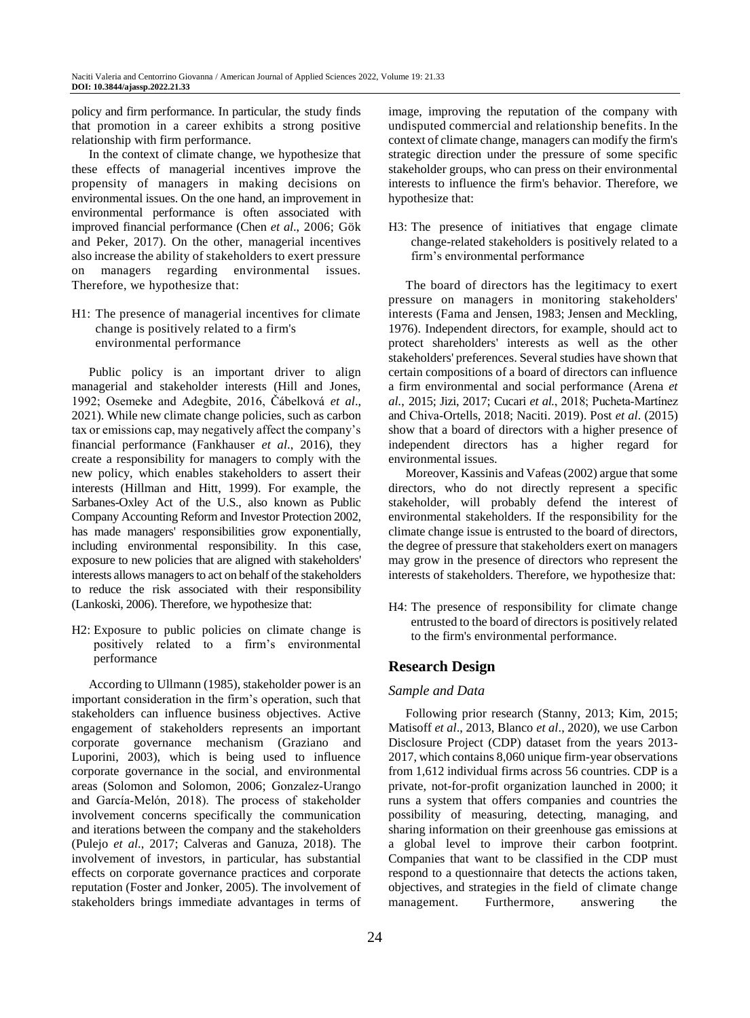policy and firm performance. In particular, the study finds that promotion in a career exhibits a strong positive relationship with firm performance.

In the context of climate change, we hypothesize that these effects of managerial incentives improve the propensity of managers in making decisions on environmental issues. On the one hand, an improvement in environmental performance is often associated with improved financial performance (Chen *et al*., 2006; Gök and Peker, 2017). On the other, managerial incentives also increase the ability of stakeholders to exert pressure on managers regarding environmental issues. Therefore, we hypothesize that:

H1: The presence of managerial incentives for climate change is positively related to a firm's environmental performance

Public policy is an important driver to align managerial and stakeholder interests (Hill and Jones, 1992; Osemeke and Adegbite, 2016, Čábelková *et al*., 2021). While new climate change policies, such as carbon tax or emissions cap, may negatively affect the company's financial performance (Fankhauser *et al*., 2016), they create a responsibility for managers to comply with the new policy, which enables stakeholders to assert their interests (Hillman and Hitt, 1999). For example, the Sarbanes-Oxley Act of the U.S., also known as Public Company Accounting Reform and Investor Protection 2002, has made managers' responsibilities grow exponentially, including environmental responsibility. In this case, exposure to new policies that are aligned with stakeholders' interests allows managers to act on behalf of the stakeholders to reduce the risk associated with their responsibility (Lankoski, 2006). Therefore, we hypothesize that:

H2: Exposure to public policies on climate change is positively related to a firm's environmental performance

According to Ullmann (1985), stakeholder power is an important consideration in the firm's operation, such that stakeholders can influence business objectives. Active engagement of stakeholders represents an important corporate governance mechanism (Graziano and Luporini, 2003), which is being used to influence corporate governance in the social, and environmental areas (Solomon and Solomon, 2006; Gonzalez‐Urango and García‐Melón, 2018). The process of stakeholder involvement concerns specifically the communication and iterations between the company and the stakeholders (Pulejo *et al*., 2017; Calveras and Ganuza, 2018). The involvement of investors, in particular, has substantial effects on corporate governance practices and corporate reputation (Foster and Jonker, 2005). The involvement of stakeholders brings immediate advantages in terms of image, improving the reputation of the company with undisputed commercial and relationship benefits. In the context of climate change, managers can modify the firm's strategic direction under the pressure of some specific stakeholder groups, who can press on their environmental interests to influence the firm's behavior. Therefore, we hypothesize that:

H3: The presence of initiatives that engage climate change-related stakeholders is positively related to a firm's environmental performance

The board of directors has the legitimacy to exert pressure on managers in monitoring stakeholders' interests (Fama and Jensen, 1983; Jensen and Meckling, 1976). Independent directors, for example, should act to protect shareholders' interests as well as the other stakeholders' preferences. Several studies have shown that certain compositions of a board of directors can influence a firm environmental and social performance (Arena *et al.*, 2015; Jizi, 2017; Cucari *et al.*, 2018; Pucheta‐Martínez and Chiva‐Ortells, 2018; Naciti. 2019). Post *et al*. (2015) show that a board of directors with a higher presence of independent directors has a higher regard for environmental issues.

Moreover, Kassinis and Vafeas (2002) argue that some directors, who do not directly represent a specific stakeholder, will probably defend the interest of environmental stakeholders. If the responsibility for the climate change issue is entrusted to the board of directors, the degree of pressure that stakeholders exert on managers may grow in the presence of directors who represent the interests of stakeholders. Therefore, we hypothesize that:

H4: The presence of responsibility for climate change entrusted to the board of directors is positively related to the firm's environmental performance.

# **Research Design**

## *Sample and Data*

Following prior research (Stanny, 2013; Kim, 2015; Matisoff *et al*., 2013, Blanco *et al*., 2020), we use Carbon Disclosure Project (CDP) dataset from the years 2013- 2017, which contains 8,060 unique firm-year observations from 1,612 individual firms across 56 countries. CDP is a private, not-for-profit organization launched in 2000; it runs a system that offers companies and countries the possibility of measuring, detecting, managing, and sharing information on their greenhouse gas emissions at a global level to improve their carbon footprint. Companies that want to be classified in the CDP must respond to a questionnaire that detects the actions taken, objectives, and strategies in the field of climate change management. Furthermore, answering the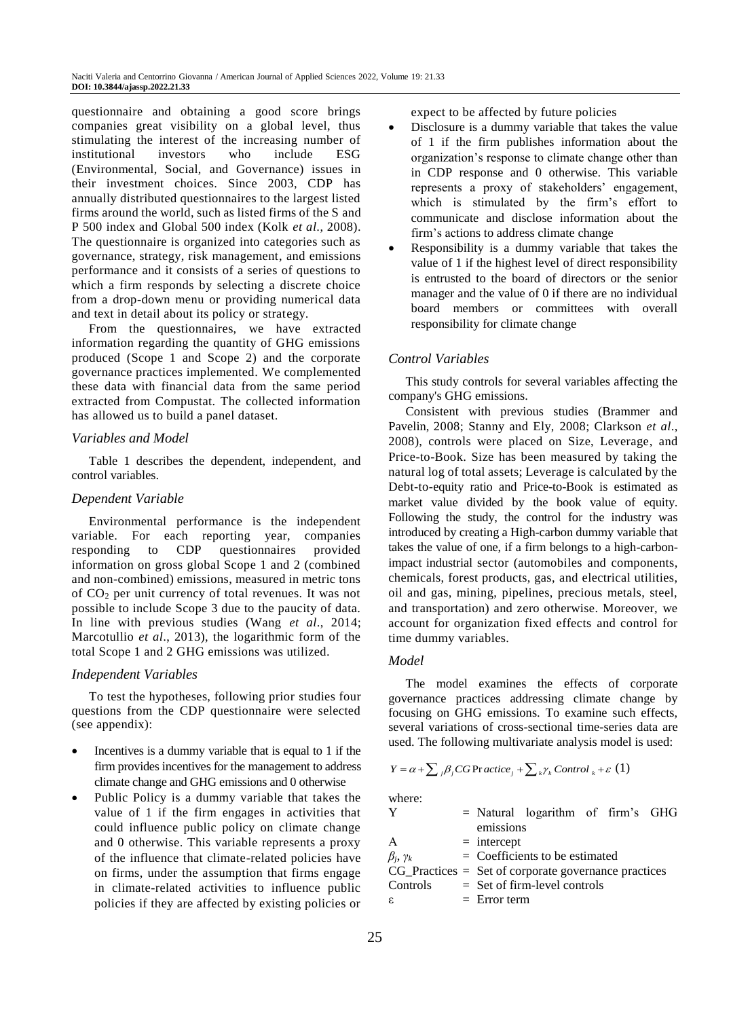questionnaire and obtaining a good score brings companies great visibility on a global level, thus stimulating the interest of the increasing number of institutional investors who include ESG (Environmental, Social, and Governance) issues in their investment choices. Since 2003, CDP has annually distributed questionnaires to the largest listed firms around the world, such as listed firms of the S and P 500 index and Global 500 index (Kolk *et al*., 2008). The questionnaire is organized into categories such as governance, strategy, risk management, and emissions performance and it consists of a series of questions to which a firm responds by selecting a discrete choice from a drop-down menu or providing numerical data and text in detail about its policy or strategy.

From the questionnaires, we have extracted information regarding the quantity of GHG emissions produced (Scope 1 and Scope 2) and the corporate governance practices implemented. We complemented these data with financial data from the same period extracted from Compustat. The collected information has allowed us to build a panel dataset.

#### *Variables and Model*

Table 1 describes the dependent, independent, and control variables.

## *Dependent Variable*

Environmental performance is the independent variable. For each reporting year, companies responding to CDP questionnaires provided information on gross global Scope 1 and 2 (combined and non-combined) emissions, measured in metric tons of CO<sup>2</sup> per unit currency of total revenues. It was not possible to include Scope 3 due to the paucity of data. In line with previous studies (Wang *et al*., 2014; Marcotullio *et al*., 2013), the logarithmic form of the total Scope 1 and 2 GHG emissions was utilized.

## *Independent Variables*

To test the hypotheses, following prior studies four questions from the CDP questionnaire were selected (see appendix):

- Incentives is a dummy variable that is equal to 1 if the firm provides incentives for the management to address climate change and GHG emissions and 0 otherwise
- Public Policy is a dummy variable that takes the value of 1 if the firm engages in activities that could influence public policy on climate change and 0 otherwise. This variable represents a proxy of the influence that climate-related policies have on firms, under the assumption that firms engage in climate-related activities to influence public policies if they are affected by existing policies or

expect to be affected by future policies

- Disclosure is a dummy variable that takes the value of 1 if the firm publishes information about the organization's response to climate change other than in CDP response and 0 otherwise. This variable represents a proxy of stakeholders' engagement, which is stimulated by the firm's effort to communicate and disclose information about the firm's actions to address climate change
- Responsibility is a dummy variable that takes the value of 1 if the highest level of direct responsibility is entrusted to the board of directors or the senior manager and the value of 0 if there are no individual board members or committees with overall responsibility for climate change

#### *Control Variables*

This study controls for several variables affecting the company's GHG emissions.

Consistent with previous studies (Brammer and Pavelin, 2008; Stanny and Ely, 2008; Clarkson *et al*., 2008), controls were placed on Size, Leverage, and Price-to-Book. Size has been measured by taking the natural log of total assets; Leverage is calculated by the Debt-to-equity ratio and Price-to-Book is estimated as market value divided by the book value of equity. Following the study, the control for the industry was introduced by creating a High-carbon dummy variable that takes the value of one, if a firm belongs to a high-carbonimpact industrial sector (automobiles and components, chemicals, forest products, gas, and electrical utilities, oil and gas, mining, pipelines, precious metals, steel, and transportation) and zero otherwise. Moreover, we account for organization fixed effects and control for time dummy variables.

#### *Model*

The model examines the effects of corporate governance practices addressing climate change by focusing on GHG emissions. To examine such effects, several variations of cross-sectional time-series data are used. The following multivariate analysis model is used:

$$
Y = \alpha + \sum_{i} \beta_{i} CG \operatorname{Pr} \operatorname{active}_{i} + \sum_{k} \gamma_{k} \operatorname{Control}_{k} + \varepsilon \ (1)
$$

where:

|                                                         |                | = Natural logarithm of firm's GHG |  |  |
|---------------------------------------------------------|----------------|-----------------------------------|--|--|
|                                                         | emissions      |                                   |  |  |
| A                                                       | $=$ intercept  |                                   |  |  |
| $\beta_i, \gamma_k$                                     |                | $=$ Coefficients to be estimated  |  |  |
| $CG\_Practices = Set of corporate governance practices$ |                |                                   |  |  |
| Controls                                                |                | $=$ Set of firm-level controls    |  |  |
| ε.                                                      | $=$ Error term |                                   |  |  |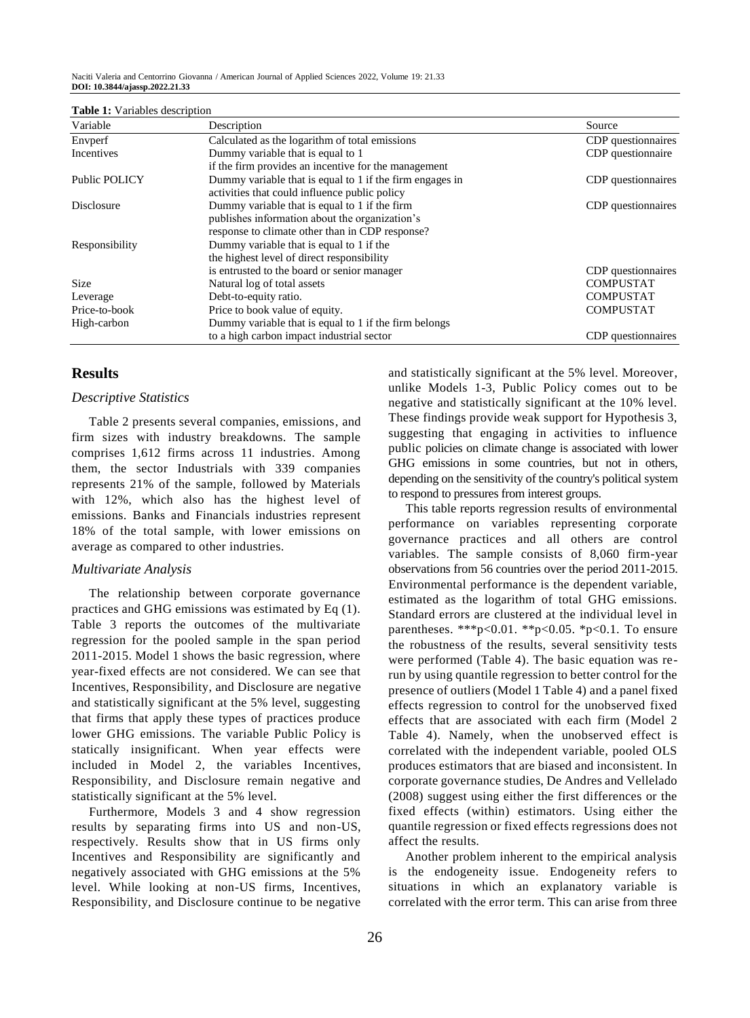Naciti Valeria and Centorrino Giovanna / American Journal of Applied Sciences 2022, Volume 19: 21.33 **DOI: 10.3844/ajassp.2022.21.33**

| Variable          | Description                                              | Source             |
|-------------------|----------------------------------------------------------|--------------------|
| Envperf           | Calculated as the logarithm of total emissions           | CDP questionnaires |
| Incentives        | Dummy variable that is equal to 1                        | CDP questionnaire  |
|                   | if the firm provides an incentive for the management     |                    |
| Public POLICY     | Dummy variable that is equal to 1 if the firm engages in | CDP questionnaires |
|                   | activities that could influence public policy            |                    |
| <b>Disclosure</b> | Dummy variable that is equal to 1 if the firm            | CDP questionnaires |
|                   | publishes information about the organization's           |                    |
|                   | response to climate other than in CDP response?          |                    |
| Responsibility    | Dummy variable that is equal to 1 if the                 |                    |
|                   | the highest level of direct responsibility               |                    |
|                   | is entrusted to the board or senior manager              | CDP questionnaires |
| Size              | Natural log of total assets                              | <b>COMPUSTAT</b>   |
| Leverage          | Debt-to-equity ratio.                                    | <b>COMPUSTAT</b>   |
| Price-to-book     | Price to book value of equity.                           | <b>COMPUSTAT</b>   |
| High-carbon       | Dummy variable that is equal to 1 if the firm belongs    |                    |
|                   | to a high carbon impact industrial sector                | CDP questionnaires |

#### **Table 1:** Variables description

## **Results**

## *Descriptive Statistics*

Table 2 presents several companies, emissions, and firm sizes with industry breakdowns. The sample comprises 1,612 firms across 11 industries. Among them, the sector Industrials with 339 companies represents 21% of the sample, followed by Materials with 12%, which also has the highest level of emissions. Banks and Financials industries represent 18% of the total sample, with lower emissions on average as compared to other industries.

#### *Multivariate Analysis*

The relationship between corporate governance practices and GHG emissions was estimated by Eq (1). Table 3 reports the outcomes of the multivariate regression for the pooled sample in the span period 2011-2015. Model 1 shows the basic regression, where year-fixed effects are not considered. We can see that Incentives, Responsibility, and Disclosure are negative and statistically significant at the 5% level, suggesting that firms that apply these types of practices produce lower GHG emissions. The variable Public Policy is statically insignificant. When year effects were included in Model 2, the variables Incentives, Responsibility, and Disclosure remain negative and statistically significant at the 5% level.

Furthermore, Models 3 and 4 show regression results by separating firms into US and non-US, respectively. Results show that in US firms only Incentives and Responsibility are significantly and negatively associated with GHG emissions at the 5% level. While looking at non-US firms, Incentives, Responsibility, and Disclosure continue to be negative and statistically significant at the 5% level. Moreover, unlike Models 1-3, Public Policy comes out to be negative and statistically significant at the 10% level. These findings provide weak support for Hypothesis 3, suggesting that engaging in activities to influence public policies on climate change is associated with lower GHG emissions in some countries, but not in others, depending on the sensitivity of the country's political system to respond to pressures from interest groups.

This table reports regression results of environmental performance on variables representing corporate governance practices and all others are control variables. The sample consists of 8,060 firm-year observations from 56 countries over the period 2011-2015. Environmental performance is the dependent variable, estimated as the logarithm of total GHG emissions. Standard errors are clustered at the individual level in parentheses. \*\*\*p<0.01. \*\*p<0.05. \*p<0.1. To ensure the robustness of the results, several sensitivity tests were performed (Table 4). The basic equation was rerun by using quantile regression to better control for the presence of outliers (Model 1 Table 4) and a panel fixed effects regression to control for the unobserved fixed effects that are associated with each firm (Model 2 Table 4). Namely, when the unobserved effect is correlated with the independent variable, pooled OLS produces estimators that are biased and inconsistent. In corporate governance studies, De Andres and Vellelado (2008) suggest using either the first differences or the fixed effects (within) estimators. Using either the quantile regression or fixed effects regressions does not affect the results.

Another problem inherent to the empirical analysis is the endogeneity issue. Endogeneity refers to situations in which an explanatory variable is correlated with the error term. This can arise from three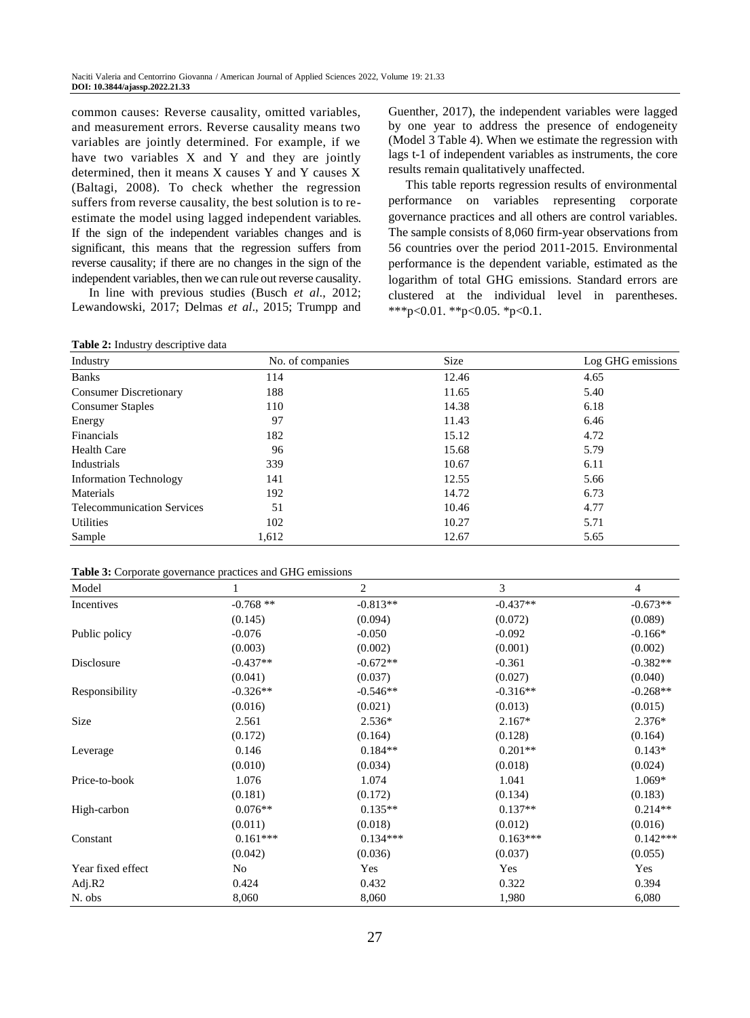common causes: Reverse causality, omitted variables, and measurement errors. Reverse causality means two variables are jointly determined. For example, if we have two variables X and Y and they are jointly determined, then it means X causes Y and Y causes X (Baltagi, 2008). To check whether the regression suffers from reverse causality, the best solution is to reestimate the model using lagged independent variables. If the sign of the independent variables changes and is significant, this means that the regression suffers from reverse causality; if there are no changes in the sign of the independent variables, then we can rule out reverse causality.

In line with previous studies (Busch *et al*., 2012; Lewandowski, 2017; Delmas *et al*., 2015; Trumpp and

**Table 2:** Industry descriptive data

Guenther, 2017), the independent variables were lagged by one year to address the presence of endogeneity (Model 3 Table 4). When we estimate the regression with lags t-1 of independent variables as instruments, the core results remain qualitatively unaffected.

This table reports regression results of environmental performance on variables representing corporate governance practices and all others are control variables. The sample consists of 8,060 firm-year observations from 56 countries over the period 2011-2015. Environmental performance is the dependent variable, estimated as the logarithm of total GHG emissions. Standard errors are clustered at the individual level in parentheses. \*\*\*p<0.01. \*\*p<0.05. \*p<0.1.

| Industry                          | No. of companies | Size  | Log GHG emissions |
|-----------------------------------|------------------|-------|-------------------|
| <b>Banks</b>                      | 114              | 12.46 | 4.65              |
| <b>Consumer Discretionary</b>     | 188              | 11.65 | 5.40              |
| <b>Consumer Staples</b>           | 110              | 14.38 | 6.18              |
| Energy                            | 97               | 11.43 | 6.46              |
| Financials                        | 182              | 15.12 | 4.72              |
| <b>Health Care</b>                | 96               | 15.68 | 5.79              |
| Industrials                       | 339              | 10.67 | 6.11              |
| <b>Information Technology</b>     | 141              | 12.55 | 5.66              |
| Materials                         | 192              | 14.72 | 6.73              |
| <b>Telecommunication Services</b> | 51               | 10.46 | 4.77              |
| Utilities                         | 102              | 10.27 | 5.71              |
| Sample                            | 1,612            | 12.67 | 5.65              |

**Table 3:** Corporate governance practices and GHG emissions

| Model             |            | 2          | 3          | 4          |
|-------------------|------------|------------|------------|------------|
| Incentives        | $-0.768**$ | $-0.813**$ | $-0.437**$ | $-0.673**$ |
|                   | (0.145)    | (0.094)    | (0.072)    | (0.089)    |
| Public policy     | $-0.076$   | $-0.050$   | $-0.092$   | $-0.166*$  |
|                   | (0.003)    | (0.002)    | (0.001)    | (0.002)    |
| Disclosure        | $-0.437**$ | $-0.672**$ | $-0.361$   | $-0.382**$ |
|                   | (0.041)    | (0.037)    | (0.027)    | (0.040)    |
| Responsibility    | $-0.326**$ | $-0.546**$ | $-0.316**$ | $-0.268**$ |
|                   | (0.016)    | (0.021)    | (0.013)    | (0.015)    |
| Size              | 2.561      | $2.536*$   | $2.167*$   | $2.376*$   |
|                   | (0.172)    | (0.164)    | (0.128)    | (0.164)    |
| Leverage          | 0.146      | $0.184**$  | $0.201**$  | $0.143*$   |
|                   | (0.010)    | (0.034)    | (0.018)    | (0.024)    |
| Price-to-book     | 1.076      | 1.074      | 1.041      | 1.069*     |
|                   | (0.181)    | (0.172)    | (0.134)    | (0.183)    |
| High-carbon       | $0.076**$  | $0.135**$  | $0.137**$  | $0.214**$  |
|                   | (0.011)    | (0.018)    | (0.012)    | (0.016)    |
| Constant          | $0.161***$ | $0.134***$ | $0.163***$ | $0.142***$ |
|                   | (0.042)    | (0.036)    | (0.037)    | (0.055)    |
| Year fixed effect | No         | Yes        | Yes        | Yes        |
| Adj. $R2$         | 0.424      | 0.432      | 0.322      | 0.394      |
| N. obs            | 8,060      | 8,060      | 1,980      | 6,080      |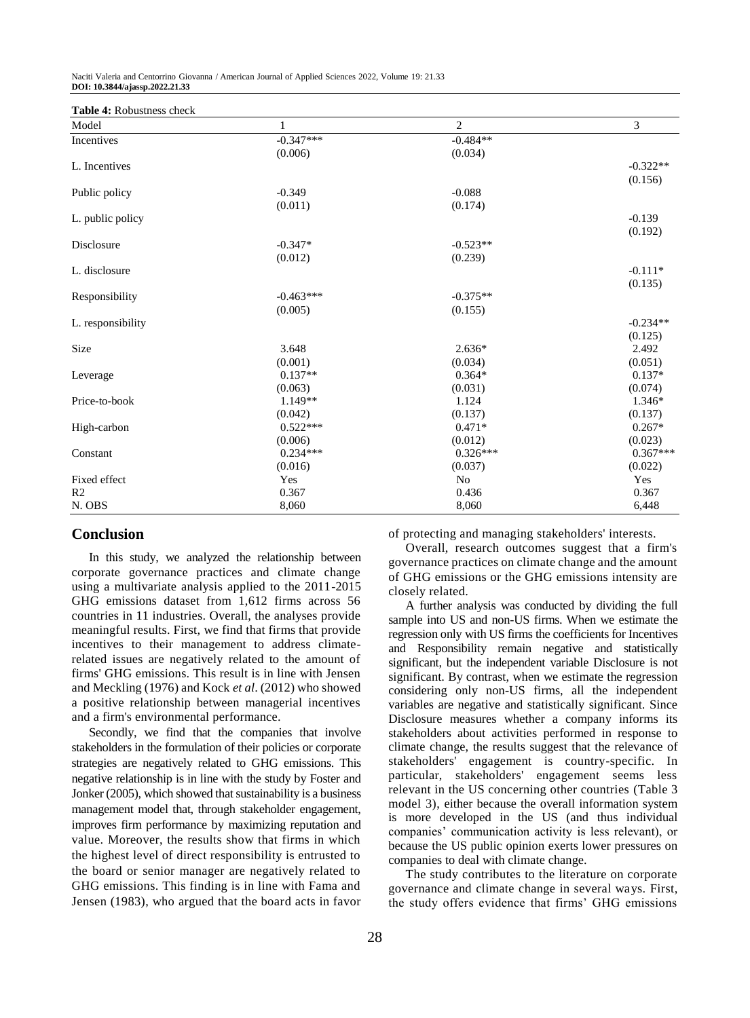**Table 4:** Robustness check

| Model             | 1           | $\overline{c}$ | 3          |
|-------------------|-------------|----------------|------------|
| Incentives        | $-0.347***$ | $-0.484**$     |            |
|                   | (0.006)     | (0.034)        |            |
| L. Incentives     |             |                | $-0.322**$ |
|                   |             |                | (0.156)    |
| Public policy     | $-0.349$    | $-0.088$       |            |
|                   | (0.011)     | (0.174)        |            |
| L. public policy  |             |                | $-0.139$   |
|                   |             |                | (0.192)    |
| Disclosure        | $-0.347*$   | $-0.523**$     |            |
|                   | (0.012)     | (0.239)        |            |
| L. disclosure     |             |                | $-0.111*$  |
|                   |             |                | (0.135)    |
| Responsibility    | $-0.463***$ | $-0.375**$     |            |
|                   | (0.005)     | (0.155)        |            |
| L. responsibility |             |                | $-0.234**$ |
|                   |             |                | (0.125)    |
| Size              | 3.648       | $2.636*$       | 2.492      |
|                   | (0.001)     | (0.034)        | (0.051)    |
| Leverage          | $0.137**$   | $0.364*$       | $0.137*$   |
|                   | (0.063)     | (0.031)        | (0.074)    |
| Price-to-book     | $1.149**$   | 1.124          | $1.346*$   |
|                   | (0.042)     | (0.137)        | (0.137)    |
| High-carbon       | $0.522***$  | $0.471*$       | $0.267*$   |
|                   | (0.006)     | (0.012)        | (0.023)    |
| Constant          | $0.234***$  | $0.326***$     | $0.367***$ |
|                   | (0.016)     | (0.037)        | (0.022)    |
| Fixed effect      | Yes         | N <sub>o</sub> | Yes        |
| R <sub>2</sub>    | 0.367       | 0.436          | 0.367      |
| N. OBS            | 8,060       | 8,060          | 6,448      |

## **Conclusion**

In this study, we analyzed the relationship between corporate governance practices and climate change using a multivariate analysis applied to the 2011-2015 GHG emissions dataset from 1,612 firms across 56 countries in 11 industries. Overall, the analyses provide meaningful results. First, we find that firms that provide incentives to their management to address climaterelated issues are negatively related to the amount of firms' GHG emissions. This result is in line with Jensen and Meckling (1976) and Kock *et al*. (2012) who showed a positive relationship between managerial incentives and a firm's environmental performance.

Secondly, we find that the companies that involve stakeholders in the formulation of their policies or corporate strategies are negatively related to GHG emissions. This negative relationship is in line with the study by Foster and Jonker (2005), which showed that sustainability is a business management model that, through stakeholder engagement, improves firm performance by maximizing reputation and value. Moreover, the results show that firms in which the highest level of direct responsibility is entrusted to the board or senior manager are negatively related to GHG emissions. This finding is in line with Fama and Jensen (1983), who argued that the board acts in favor of protecting and managing stakeholders' interests.

Overall, research outcomes suggest that a firm's governance practices on climate change and the amount of GHG emissions or the GHG emissions intensity are closely related.

A further analysis was conducted by dividing the full sample into US and non-US firms. When we estimate the regression only with US firms the coefficients for Incentives and Responsibility remain negative and statistically significant, but the independent variable Disclosure is not significant. By contrast, when we estimate the regression considering only non-US firms, all the independent variables are negative and statistically significant. Since Disclosure measures whether a company informs its stakeholders about activities performed in response to climate change, the results suggest that the relevance of stakeholders' engagement is country-specific. In particular, stakeholders' engagement seems less relevant in the US concerning other countries (Table 3 model 3), either because the overall information system is more developed in the US (and thus individual companies' communication activity is less relevant), or because the US public opinion exerts lower pressures on companies to deal with climate change.

The study contributes to the literature on corporate governance and climate change in several ways. First, the study offers evidence that firms' GHG emissions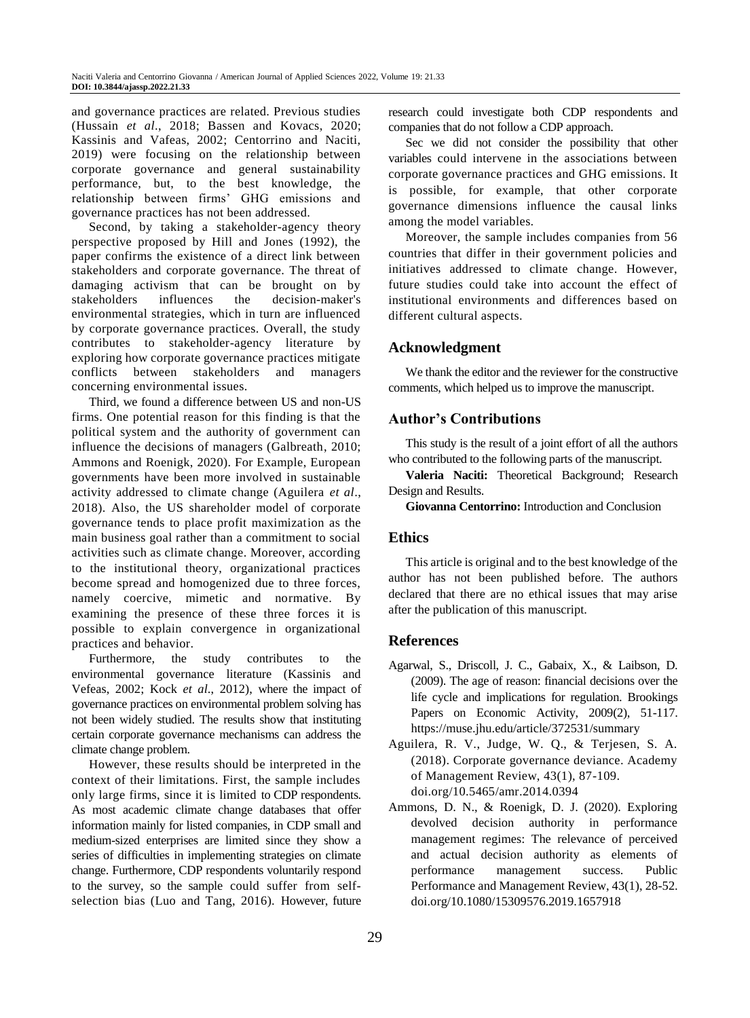and governance practices are related. Previous studies (Hussain *et al*., 2018; Bassen and Kovacs, 2020; Kassinis and Vafeas, 2002; Centorrino and Naciti, 2019) were focusing on the relationship between corporate governance and general sustainability performance, but, to the best knowledge, the relationship between firms' GHG emissions and governance practices has not been addressed.

Second, by taking a stakeholder-agency theory perspective proposed by Hill and Jones (1992), the paper confirms the existence of a direct link between stakeholders and corporate governance. The threat of damaging activism that can be brought on by stakeholders influences the decision-maker's environmental strategies, which in turn are influenced by corporate governance practices. Overall, the study contributes to stakeholder-agency literature by exploring how corporate governance practices mitigate conflicts between stakeholders and managers concerning environmental issues.

Third, we found a difference between US and non-US firms. One potential reason for this finding is that the political system and the authority of government can influence the decisions of managers (Galbreath, 2010; Ammons and Roenigk, 2020). For Example, European governments have been more involved in sustainable activity addressed to climate change (Aguilera *et al*., 2018). Also, the US shareholder model of corporate governance tends to place profit maximization as the main business goal rather than a commitment to social activities such as climate change. Moreover, according to the institutional theory, organizational practices become spread and homogenized due to three forces, namely coercive, mimetic and normative. By examining the presence of these three forces it is possible to explain convergence in organizational practices and behavior.

Furthermore, the study contributes to the environmental governance literature (Kassinis and Vefeas, 2002; Kock *et al*., 2012), where the impact of governance practices on environmental problem solving has not been widely studied. The results show that instituting certain corporate governance mechanisms can address the climate change problem.

However, these results should be interpreted in the context of their limitations. First, the sample includes only large firms, since it is limited to CDP respondents. As most academic climate change databases that offer information mainly for listed companies, in CDP small and medium-sized enterprises are limited since they show a series of difficulties in implementing strategies on climate change. Furthermore, CDP respondents voluntarily respond to the survey, so the sample could suffer from selfselection bias (Luo and Tang, 2016). However, future research could investigate both CDP respondents and companies that do not follow a CDP approach.

Sec we did not consider the possibility that other variables could intervene in the associations between corporate governance practices and GHG emissions. It is possible, for example, that other corporate governance dimensions influence the causal links among the model variables.

Moreover, the sample includes companies from 56 countries that differ in their government policies and initiatives addressed to climate change. However, future studies could take into account the effect of institutional environments and differences based on different cultural aspects.

# **Acknowledgment**

We thank the editor and the reviewer for the constructive comments, which helped us to improve the manuscript.

# **Author's Contributions**

This study is the result of a joint effort of all the authors who contributed to the following parts of the manuscript.

**Valeria Naciti:** Theoretical Background; Research Design and Results.

**Giovanna Centorrino:** Introduction and Conclusion

# **Ethics**

This article is original and to the best knowledge of the author has not been published before. The authors declared that there are no ethical issues that may arise after the publication of this manuscript.

## **References**

- Agarwal, S., Driscoll, J. C., Gabaix, X., & Laibson, D. (2009). The age of reason: financial decisions over the life cycle and implications for regulation. Brookings Papers on Economic Activity, 2009(2), 51-117. https://muse.jhu.edu/article/372531/summary
- Aguilera, R. V., Judge, W. Q., & Terjesen, S. A. (2018). Corporate governance deviance. Academy of Management Review, 43(1), 87-109. doi.org/10.5465/amr.2014.0394
- Ammons, D. N., & Roenigk, D. J. (2020). Exploring devolved decision authority in performance management regimes: The relevance of perceived and actual decision authority as elements of performance management success. Public Performance and Management Review, 43(1), 28-52. doi.org/10.1080/15309576.2019.1657918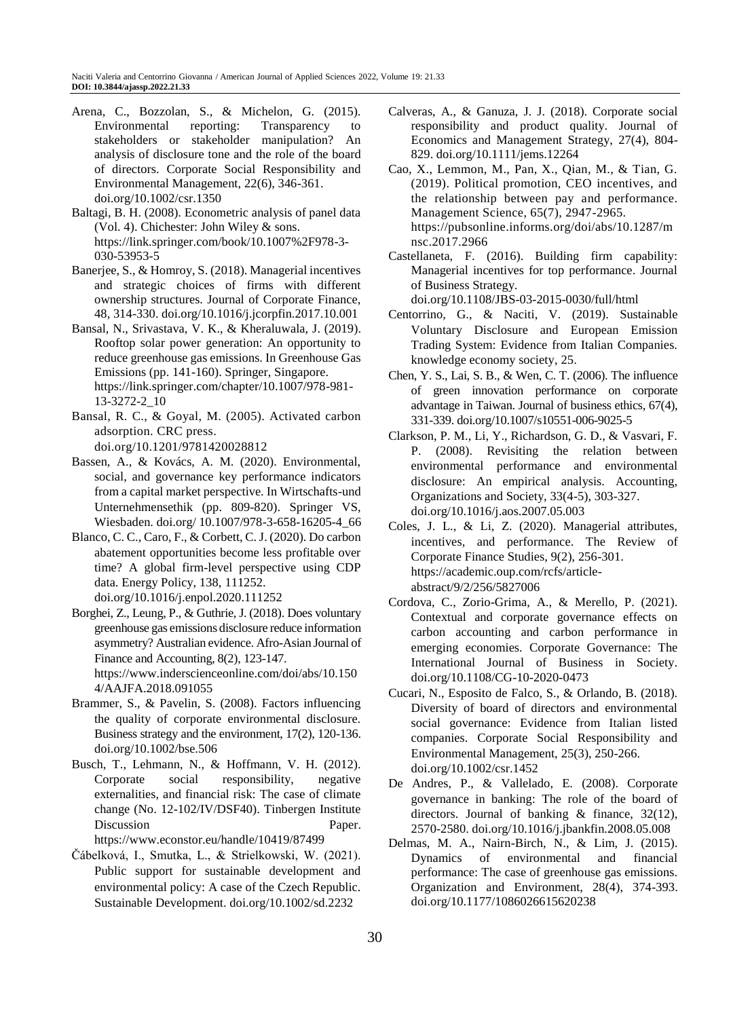- Arena, C., Bozzolan, S., & Michelon, G. (2015). Environmental reporting: Transparency to stakeholders or stakeholder manipulation? An analysis of disclosure tone and the role of the board of directors. Corporate Social Responsibility and Environmental Management, 22(6), 346-361. doi.org/10.1002/csr.1350
- Baltagi, B. H. (2008). Econometric analysis of panel data (Vol. 4). Chichester: John Wiley & sons. https://link.springer.com/book/10.1007%2F978-3- 030-53953-5
- Banerjee, S., & Homroy, S. (2018). Managerial incentives and strategic choices of firms with different ownership structures. Journal of Corporate Finance, 48, 314-330. doi.org/10.1016/j.jcorpfin.2017.10.001
- Bansal, N., Srivastava, V. K., & Kheraluwala, J. (2019). Rooftop solar power generation: An opportunity to reduce greenhouse gas emissions. In Greenhouse Gas Emissions (pp. 141-160). Springer, Singapore. https://link.springer.com/chapter/10.1007/978-981- 13-3272-2\_10
- Bansal, R. C., & Goyal, M. (2005). Activated carbon adsorption. CRC press. doi.org/10.1201/9781420028812
- Bassen, A., & Kovács, A. M. (2020). Environmental, social, and governance key performance indicators from a capital market perspective. In Wirtschafts-und Unternehmensethik (pp. 809-820). Springer VS, Wiesbaden. doi.org/ 10.1007/978-3-658-16205-4\_66
- Blanco, C. C., Caro, F., & Corbett, C. J. (2020). Do carbon abatement opportunities become less profitable over time? A global firm-level perspective using CDP data. Energy Policy, 138, 111252. doi.org/10.1016/j.enpol.2020.111252
- Borghei, Z., Leung, P., & Guthrie, J. (2018). Does voluntary greenhouse gas emissions disclosure reduce information asymmetry? Australian evidence. Afro-Asian Journal of Finance and Accounting, 8(2), 123-147. https://www.inderscienceonline.com/doi/abs/10.150 4/AAJFA.2018.091055
- Brammer, S., & Pavelin, S. (2008). Factors influencing the quality of corporate environmental disclosure. Business strategy and the environment, 17(2), 120-136. doi.org/10.1002/bse.506
- Busch, T., Lehmann, N., & Hoffmann, V. H. (2012). Corporate social responsibility, negative externalities, and financial risk: The case of climate change (No. 12-102/IV/DSF40). Tinbergen Institute Discussion Paper. https://www.econstor.eu/handle/10419/87499

Čábelková, I., Smutka, L., & Strielkowski, W. (2021).

Public support for sustainable development and environmental policy: A case of the Czech Republic. Sustainable Development. doi.org/10.1002/sd.2232

- Calveras, A., & Ganuza, J. J. (2018). Corporate social responsibility and product quality. Journal of Economics and Management Strategy, 27(4), 804- 829. doi.org/10.1111/jems.12264
- Cao, X., Lemmon, M., Pan, X., Qian, M., & Tian, G. (2019). Political promotion, CEO incentives, and the relationship between pay and performance. Management Science, 65(7), 2947-2965. https://pubsonline.informs.org/doi/abs/10.1287/m nsc.2017.2966
- Castellaneta, F. (2016). Building firm capability: Managerial incentives for top performance. Journal of Business Strategy. doi.org/10.1108/JBS-03-2015-0030/full/html
- Centorrino, G., & Naciti, V. (2019). Sustainable Voluntary Disclosure and European Emission Trading System: Evidence from Italian Companies. knowledge economy society, 25.
- Chen, Y. S., Lai, S. B., & Wen, C. T. (2006). The influence of green innovation performance on corporate advantage in Taiwan. Journal of business ethics, 67(4), 331-339. doi.org/10.1007/s10551-006-9025-5
- Clarkson, P. M., Li, Y., Richardson, G. D., & Vasvari, F. P. (2008). Revisiting the relation between environmental performance and environmental disclosure: An empirical analysis. Accounting, Organizations and Society, 33(4-5), 303-327. doi.org/10.1016/j.aos.2007.05.003
- Coles, J. L., & Li, Z. (2020). Managerial attributes, incentives, and performance. The Review of Corporate Finance Studies, 9(2), 256-301. https://academic.oup.com/rcfs/articleabstract/9/2/256/5827006
- Cordova, C., Zorio-Grima, A., & Merello, P. (2021). Contextual and corporate governance effects on carbon accounting and carbon performance in emerging economies. Corporate Governance: The International Journal of Business in Society. doi.org/10.1108/CG-10-2020-0473
- Cucari, N., Esposito de Falco, S., & Orlando, B. (2018). Diversity of board of directors and environmental social governance: Evidence from Italian listed companies. Corporate Social Responsibility and Environmental Management, 25(3), 250-266. doi.org/10.1002/csr.1452
- De Andres, P., & Vallelado, E. (2008). Corporate governance in banking: The role of the board of directors. Journal of banking & finance, 32(12), 2570-2580. doi.org/10.1016/j.jbankfin.2008.05.008
- Delmas, M. A., Nairn-Birch, N., & Lim, J. (2015). Dynamics of environmental and financial performance: The case of greenhouse gas emissions. Organization and Environment, 28(4), 374-393. doi.org/10.1177/1086026615620238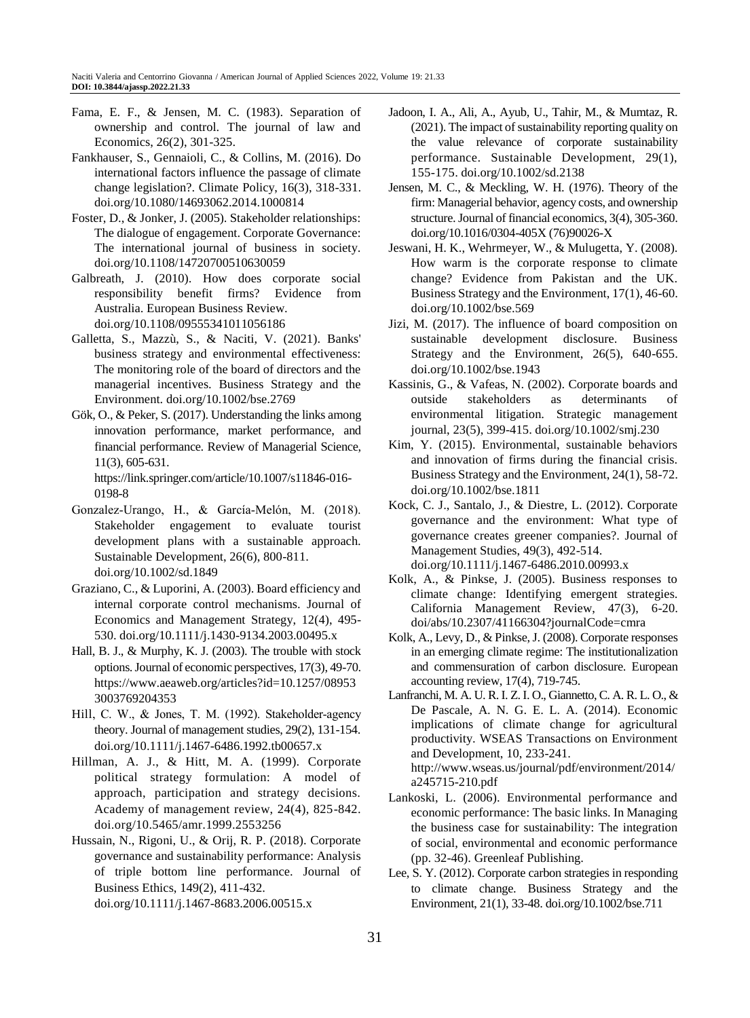- Fama, E. F., & Jensen, M. C. (1983). Separation of ownership and control. The journal of law and Economics, 26(2), 301-325.
- Fankhauser, S., Gennaioli, C., & Collins, M. (2016). Do international factors influence the passage of climate change legislation?. Climate Policy, 16(3), 318-331. doi.org/10.1080/14693062.2014.1000814
- Foster, D., & Jonker, J. (2005). Stakeholder relationships: The dialogue of engagement. Corporate Governance: The international journal of business in society. doi.org/10.1108/14720700510630059
- Galbreath, J. (2010). How does corporate social responsibility benefit firms? Evidence from Australia. European Business Review. doi.org/10.1108/09555341011056186
- Galletta, S., Mazzù, S., & Naciti, V. (2021). Banks' business strategy and environmental effectiveness: The monitoring role of the board of directors and the managerial incentives. Business Strategy and the Environment. doi.org/10.1002/bse.2769
- Gök, O., & Peker, S. (2017). Understanding the links among innovation performance, market performance, and financial performance. Review of Managerial Science, 11(3), 605-631.

https://link.springer.com/article/10.1007/s11846-016- 0198-8

- Gonzalez‐Urango, H., & García‐Melón, M. (2018). Stakeholder engagement to evaluate tourist development plans with a sustainable approach. Sustainable Development, 26(6), 800-811. doi.org/10.1002/sd.1849
- Graziano, C., & Luporini, A. (2003). Board efficiency and internal corporate control mechanisms. Journal of Economics and Management Strategy, 12(4), 495- 530. doi.org/10.1111/j.1430-9134.2003.00495.x
- Hall, B. J., & Murphy, K. J. (2003). The trouble with stock options. Journal of economic perspectives, 17(3), 49-70. https://www.aeaweb.org/articles?id=10.1257/08953 3003769204353
- Hill, C. W., & Jones, T. M. (1992). Stakeholder-agency theory. Journal of management studies, 29(2), 131-154. doi.org/10.1111/j.1467-6486.1992.tb00657.x
- Hillman, A. J., & Hitt, M. A. (1999). Corporate political strategy formulation: A model of approach, participation and strategy decisions. Academy of management review, 24(4), 825-842. doi.org/10.5465/amr.1999.2553256
- Hussain, N., Rigoni, U., & Orij, R. P. (2018). Corporate governance and sustainability performance: Analysis of triple bottom line performance. Journal of Business Ethics, 149(2), 411-432. doi.org/10.1111/j.1467-8683.2006.00515.x
- Jadoon, I. A., Ali, A., Ayub, U., Tahir, M., & Mumtaz, R. (2021). The impact of sustainability reporting quality on the value relevance of corporate sustainability performance. Sustainable Development, 29(1), 155-175. doi.org/10.1002/sd.2138
- Jensen, M. C., & Meckling, W. H. (1976). Theory of the firm: Managerial behavior, agency costs, and ownership structure. Journal of financial economics, 3(4), 305-360. doi.org/10.1016/0304-405X (76)90026-X
- Jeswani, H. K., Wehrmeyer, W., & Mulugetta, Y. (2008). How warm is the corporate response to climate change? Evidence from Pakistan and the UK. Business Strategy and the Environment, 17(1), 46-60. doi.org/10.1002/bse.569
- Jizi, M. (2017). The influence of board composition on sustainable development disclosure. Business Strategy and the Environment, 26(5), 640-655. doi.org/10.1002/bse.1943
- Kassinis, G., & Vafeas, N. (2002). Corporate boards and outside stakeholders as determinants of environmental litigation. Strategic management journal, 23(5), 399-415. doi.org/10.1002/smj.230
- Kim, Y. (2015). Environmental, sustainable behaviors and innovation of firms during the financial crisis. Business Strategy and the Environment, 24(1), 58-72. doi.org/10.1002/bse.1811
- Kock, C. J., Santalo, J., & Diestre, L. (2012). Corporate governance and the environment: What type of governance creates greener companies?. Journal of Management Studies, 49(3), 492-514.
	- doi.org/10.1111/j.1467-6486.2010.00993.x
- Kolk, A., & Pinkse, J. (2005). Business responses to climate change: Identifying emergent strategies. California Management Review, 47(3), 6-20. doi/abs/10.2307/41166304?journalCode=cmra
- Kolk, A., Levy, D., & Pinkse, J. (2008). Corporate responses in an emerging climate regime: The institutionalization and commensuration of carbon disclosure. European accounting review, 17(4), 719-745.
- Lanfranchi, M. A. U. R. I. Z. I. O., Giannetto, C. A. R. L. O., & De Pascale, A. N. G. E. L. A. (2014). Economic implications of climate change for agricultural productivity. WSEAS Transactions on Environment and Development, 10, 233-241. http://www.wseas.us/journal/pdf/environment/2014/ a245715-210.pdf
- Lankoski, L. (2006). Environmental performance and economic performance: The basic links. In Managing the business case for sustainability: The integration of social, environmental and economic performance (pp. 32-46). Greenleaf Publishing.
- Lee, S. Y. (2012). Corporate carbon strategies in responding to climate change. Business Strategy and the Environment, 21(1), 33-48. doi.org/10.1002/bse.711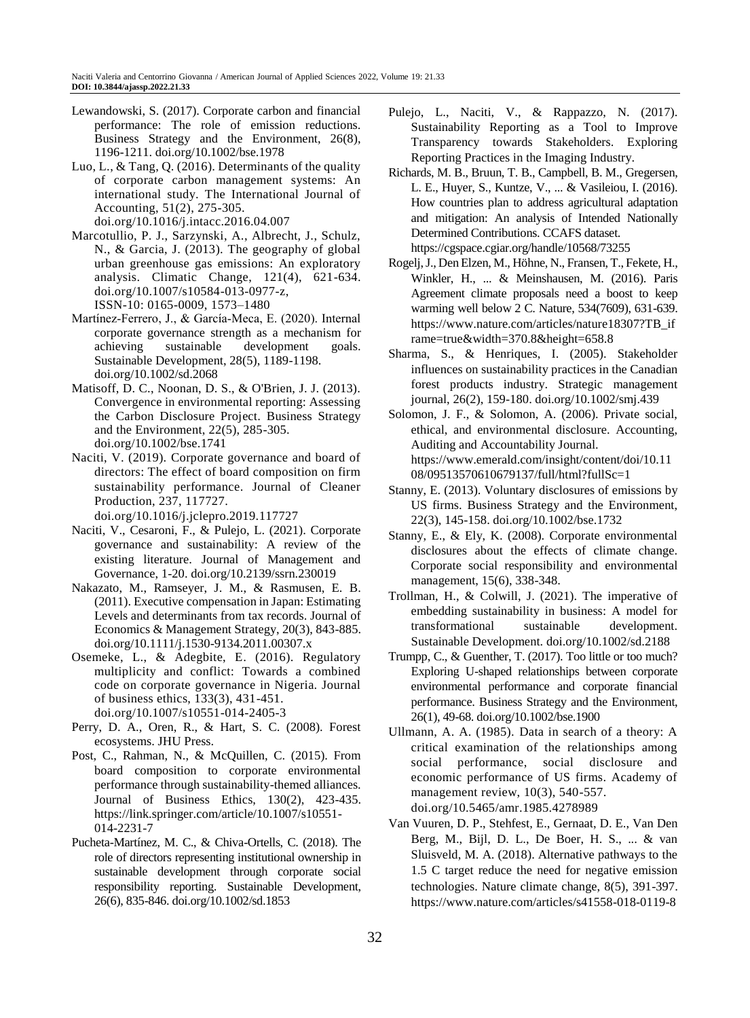- Lewandowski, S. (2017). Corporate carbon and financial performance: The role of emission reductions. Business Strategy and the Environment, 26(8), 1196-1211. doi.org/10.1002/bse.1978
- Luo, L., & Tang, Q. (2016). Determinants of the quality of corporate carbon management systems: An international study. The International Journal of Accounting, 51(2), 275-305. doi.org/10.1016/j.intacc.2016.04.007
- Marcotullio, P. J., Sarzynski, A., Albrecht, J., Schulz, N., & Garcia, J. (2013). The geography of global urban greenhouse gas emissions: An exploratory analysis. Climatic Change, 121(4), 621-634. doi.org/10.1007/s10584-013-0977-z, ISSN-10: 0165-0009, 1573–1480
- Martínez‐Ferrero, J., & García‐Meca, E. (2020). Internal corporate governance strength as a mechanism for achieving sustainable development goals. Sustainable Development, 28(5), 1189-1198. doi.org/10.1002/sd.2068
- Matisoff, D. C., Noonan, D. S., & O'Brien, J. J. (2013). Convergence in environmental reporting: Assessing the Carbon Disclosure Project. Business Strategy and the Environment, 22(5), 285-305. doi.org/10.1002/bse.1741
- Naciti, V. (2019). Corporate governance and board of directors: The effect of board composition on firm sustainability performance. Journal of Cleaner Production, 237, 117727.

doi.org/10.1016/j.jclepro.2019.117727

- Naciti, V., Cesaroni, F., & Pulejo, L. (2021). Corporate governance and sustainability: A review of the existing literature. Journal of Management and Governance, 1-20. doi.org/10.2139/ssrn.230019
- Nakazato, M., Ramseyer, J. M., & Rasmusen, E. B. (2011). Executive compensation in Japan: Estimating Levels and determinants from tax records. Journal of Economics & Management Strategy, 20(3), 843-885. doi.org/10.1111/j.1530-9134.2011.00307.x
- Osemeke, L., & Adegbite, E. (2016). Regulatory multiplicity and conflict: Towards a combined code on corporate governance in Nigeria. Journal of business ethics, 133(3), 431-451. doi.org/10.1007/s10551-014-2405-3
- Perry, D. A., Oren, R., & Hart, S. C. (2008). Forest ecosystems. JHU Press.
- Post, C., Rahman, N., & McQuillen, C. (2015). From board composition to corporate environmental performance through sustainability-themed alliances. Journal of Business Ethics, 130(2), 423-435. https://link.springer.com/article/10.1007/s10551- 014-2231-7
- Pucheta-Martínez, M. C., & Chiva-Ortells, C. (2018). The role of directors representing institutional ownership in sustainable development through corporate social responsibility reporting. Sustainable Development, 26(6), 835-846. doi.org/10.1002/sd.1853
- Pulejo, L., Naciti, V., & Rappazzo, N. (2017). Sustainability Reporting as a Tool to Improve Transparency towards Stakeholders. Exploring Reporting Practices in the Imaging Industry.
- Richards, M. B., Bruun, T. B., Campbell, B. M., Gregersen, L. E., Huyer, S., Kuntze, V., ... & Vasileiou, I. (2016). How countries plan to address agricultural adaptation and mitigation: An analysis of Intended Nationally Determined Contributions. CCAFS dataset. https://cgspace.cgiar.org/handle/10568/73255
- Rogelj, J., Den Elzen, M., Höhne, N., Fransen, T., Fekete, H., Winkler, H., ... & Meinshausen, M. (2016). Paris Agreement climate proposals need a boost to keep warming well below 2 C. Nature, 534(7609), 631-639. https://www.nature.com/articles/nature18307?TB\_if rame=true&width=370.8&height=658.8
- Sharma, S., & Henriques, I. (2005). Stakeholder influences on sustainability practices in the Canadian forest products industry. Strategic management journal, 26(2), 159-180. doi.org/10.1002/smj.439
- Solomon, J. F., & Solomon, A. (2006). Private social, ethical, and environmental disclosure. Accounting, Auditing and Accountability Journal. https://www.emerald.com/insight/content/doi/10.11 08/09513570610679137/full/html?fullSc=1
- Stanny, E. (2013). Voluntary disclosures of emissions by US firms. Business Strategy and the Environment, 22(3), 145-158. doi.org/10.1002/bse.1732
- Stanny, E., & Ely, K. (2008). Corporate environmental disclosures about the effects of climate change. Corporate social responsibility and environmental management, 15(6), 338-348.
- Trollman, H., & Colwill, J. (2021). The imperative of embedding sustainability in business: A model for transformational sustainable development. Sustainable Development. doi.org/10.1002/sd.2188
- Trumpp, C., & Guenther, T. (2017). Too little or too much? Exploring U-shaped relationships between corporate environmental performance and corporate financial performance. Business Strategy and the Environment, 26(1), 49-68. doi.org/10.1002/bse.1900
- Ullmann, A. A. (1985). Data in search of a theory: A critical examination of the relationships among social performance, social disclosure and economic performance of US firms. Academy of management review, 10(3), 540-557. doi.org/10.5465/amr.1985.4278989
- Van Vuuren, D. P., Stehfest, E., Gernaat, D. E., Van Den Berg, M., Bijl, D. L., De Boer, H. S., ... & van Sluisveld, M. A. (2018). Alternative pathways to the 1.5 C target reduce the need for negative emission technologies. Nature climate change, 8(5), 391-397. https://www.nature.com/articles/s41558-018-0119-8